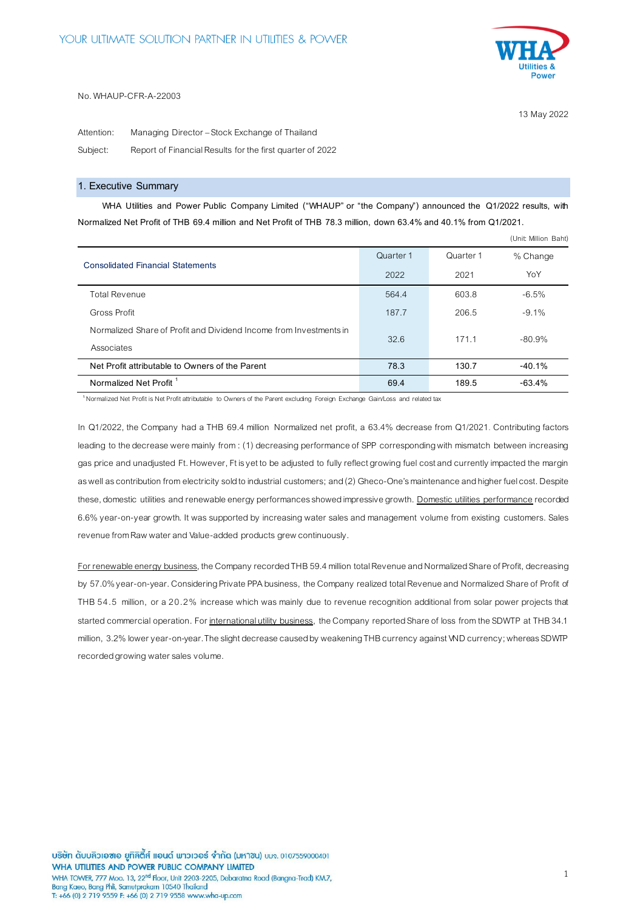

13 May 2022

(Unit: Million Baht)

#### No. WHAUP-CFR-A-22003

Attention: Managing Director – Stock Exchange of Thailand Subject: Report of Financial Results for the first quarter of 2022

### **1. Executive Summary**

**WHA Utilities and Power Public Company Limited ("WHAUP" or "the Company") announced the Q1/2022 results, with Normalized Net Profit of THB 69.4 million and Net Profit of THB 78.3 million, down 63.4% and 40.1% from Q1/2021.**

|                                                                                  | Quarter 1 | Quarter 1 | % Change |
|----------------------------------------------------------------------------------|-----------|-----------|----------|
| <b>Consolidated Financial Statements</b>                                         | 2022      | 2021      | YoY      |
| <b>Total Revenue</b>                                                             | 564.4     | 603.8     | $-6.5%$  |
| Gross Profit                                                                     | 187.7     | 206.5     | $-9.1%$  |
| Normalized Share of Profit and Dividend Income from Investments in<br>Associates | 32.6      | 171.1     | $-80.9%$ |
| Net Profit attributable to Owners of the Parent                                  | 78.3      | 130.7     | $-40.1%$ |
| Normalized Net Profit <sup>1</sup>                                               | 69.4      | 189.5     | $-63.4%$ |

**<sup>1</sup>** Normalized Net Profit is Net Profit attributable to Owners of the Parent excluding Foreign Exchange Gain/Loss and related tax

In Q1/2022, the Company had a THB 69.4 million Normalized net profit, a 63.4% decrease from Q1/2021. Contributing factors leading to the decrease were mainly from : (1) decreasing performance of SPP corresponding with mismatch between increasing gas price and unadjusted Ft. However, Ft is yet to be adjusted to fully reflect growing fuel cost and currently impacted the margin as well as contribution from electricity sold to industrial customers; and (2) Gheco-One's maintenance and higher fuel cost. Despite these, domestic utilities and renewable energy performances showed impressive growth. Domestic utilities performance recorded 6.6% year-on-year growth. It was supported by increasing water sales and management volume from existing customers. Sales revenue from Raw water and Value-added products grew continuously.

For renewable energy business, the Company recorded THB 59.4million total Revenue and Normalized Share of Profit, decreasing by 57.0%year-on-year. Considering Private PPA business, the Company realized total Revenue and Normalized Share of Profit of THB 54.5 million, or a 20.2% increase which was mainly due to revenue recognition additional from solar power projects that started commercial operation. For international utility business, the Company reported Share of loss from the SDWTP at THB 34.1 million, 3.2% lower year-on-year. The slight decrease caused by weakening THB currency against VND currency; whereas SDWTP recorded growing water sales volume.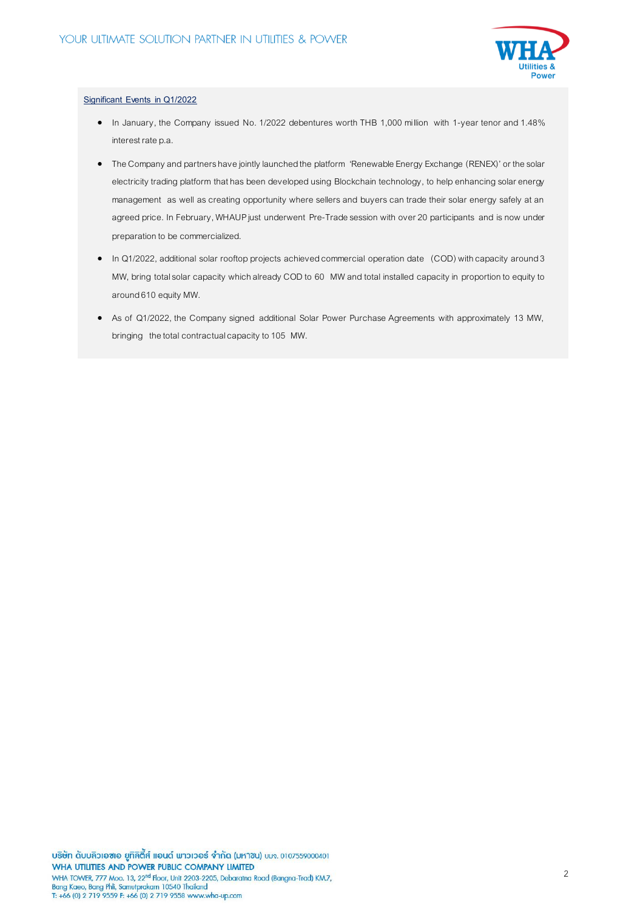

### **Significant Events in Q1/2022**

- In January, the Company issued No. 1/2022 debentures worth THB 1,000 million with 1-year tenor and 1.48% interest rate p.a.
- The Company and partners have jointly launched the platform 'Renewable Energy Exchange (RENEX)'or the solar electricity trading platform that has been developed using Blockchain technology, to help enhancing solar energy management as well as creating opportunity where sellers and buyers can trade their solar energy safely at an agreed price. In February, WHAUP just underwent Pre-Trade session with over 20 participants and is now under preparation to be commercialized.
- In Q1/2022, additional solar rooftop projects achieved commercial operation date (COD) with capacity around 3 MW, bring total solar capacity which already COD to 60 MW and total installed capacity in proportion to equity to around 610 equity MW.
- As of Q1/2022, the Company signed additional Solar Power Purchase Agreements with approximately 13 MW, bringing the total contractual capacity to105 MW.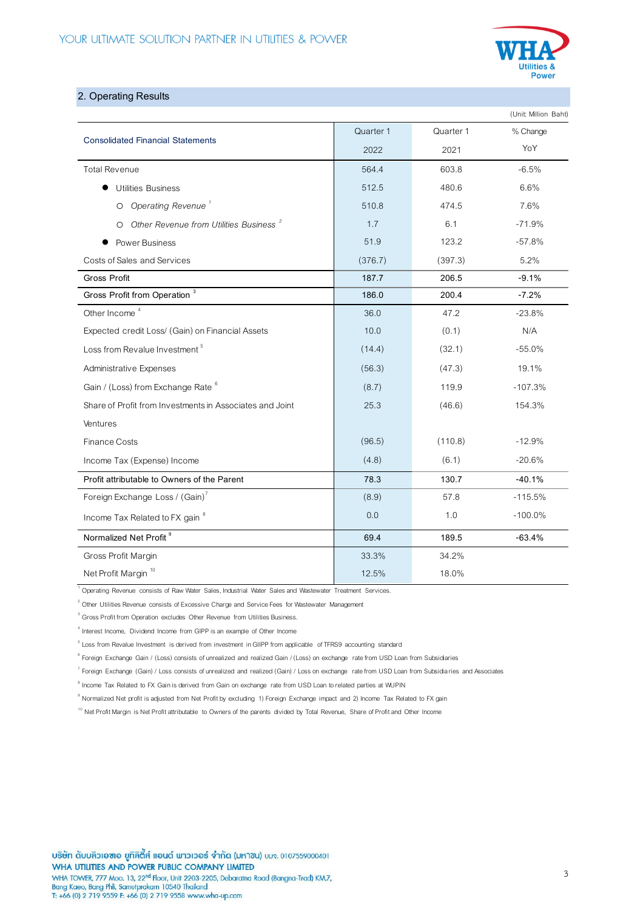

## **2. Operating Results**

|                                                               |           |           | (Unit: Million Baht) |
|---------------------------------------------------------------|-----------|-----------|----------------------|
| <b>Consolidated Financial Statements</b>                      | Quarter 1 | Quarter 1 | % Change             |
|                                                               | 2022      | 2021      | YoY                  |
| <b>Total Revenue</b>                                          | 564.4     | 603.8     | $-6.5%$              |
| <b>Utilities Business</b>                                     | 512.5     | 480.6     | 6.6%                 |
| Operating Revenue <sup>1</sup><br>$\circ$                     | 510.8     | 474.5     | 7.6%                 |
| Other Revenue from Utilities Business <sup>2</sup><br>$\circ$ | 1.7       | 6.1       | $-71.9%$             |
| <b>Power Business</b>                                         | 51.9      | 123.2     | $-57.8%$             |
| Costs of Sales and Services                                   | (376.7)   | (397.3)   | 5.2%                 |
| Gross Profit                                                  | 187.7     | 206.5     | $-9.1%$              |
| Gross Profit from Operation <sup>3</sup>                      | 186.0     | 200.4     | $-7.2%$              |
| Other Income <sup>4</sup>                                     | 36.0      | 47.2      | $-23.8%$             |
| Expected credit Loss/ (Gain) on Financial Assets              | 10.0      | (0.1)     | N/A                  |
| Loss from Revalue Investment <sup>5</sup>                     | (14.4)    | (32.1)    | $-55.0%$             |
| Administrative Expenses                                       | (56.3)    | (47.3)    | 19.1%                |
| Gain / (Loss) from Exchange Rate 6                            | (8.7)     | 119.9     | $-107.3%$            |
| Share of Profit from Investments in Associates and Joint      | 25.3      | (46.6)    | 154.3%               |
| Ventures                                                      |           |           |                      |
| <b>Finance Costs</b>                                          | (96.5)    | (110.8)   | $-12.9%$             |
| Income Tax (Expense) Income                                   | (4.8)     | (6.1)     | $-20.6%$             |
| Profit attributable to Owners of the Parent                   | 78.3      | 130.7     | $-40.1%$             |
| Foreign Exchange Loss / (Gain) <sup>7</sup>                   | (8.9)     | 57.8      | $-115.5%$            |
| Income Tax Related to FX gain 8                               | 0.0       | 1.0       | $-100.0\%$           |
| Normalized Net Profit <sup>9</sup>                            | 69.4      | 189.5     | $-63.4%$             |
| Gross Profit Margin                                           | 33.3%     | 34.2%     |                      |
| Net Profit Margin <sup>10</sup>                               | 12.5%     | 18.0%     |                      |

 $1$  Operating Revenue consists of Raw Water Sales, Industrial Water Sales and Wastewater Treatment Services.

 $2^{2}$  Other Utilities Revenue consists of Excessive Charge and Service Fees for Wastewater Management

 $3$  Gross Profit from Operation excludes Other Revenue from Utilities Business.

<sup>4</sup> Interest Income, Dividend Income from GIPP is an example of Other Income

 $^5$  Loss from Revalue Investment is derived from investment in GIIPP from applicable of TFRS9 accounting standard

<sup>6</sup> Foreign Exchange Gain / (Loss) consists of unrealized and realized Gain / (Loss) on exchange rate from USD Loan from Subsidiaries

<sup>7</sup> Foreign Exchange (Gain) / Loss consists of unrealized and realized (Gain) / Loss on exchange rate from USD Loan from Subsidiaries and Associates

 $^8$  Income Tax Related to FX Gain is derived from Gain on exchange rate from USD Loan to related parties at WUPIN

<sup>9</sup> Normalized Net profit is adjusted from Net Profit by excluding 1) Foreign Exchange impact and 2) Income Tax Related to FX gain

<sup>10</sup> Net Profit Margin is Net Profit attributable to Owners of the parents divided by Total Revenue, Share of Profit and Other Income

บริษัท ดับบลิวเอซเอ ยูทิลิตี้ส์ แอนด์ พาวเวอร์ จำกัด (มหาซน) บมจ. 0107559000401 WHA UTILITIES AND POWER PUBLIC COMPANY LIMITED WHA TOWER, 777 Moo. 13, 22<sup>nd</sup> Floor, Unit 2203-2205, Debaratna Road (Bangna-Trad) KM.7, Bang Kaeo, Bang Phli, Samutprakarn 10540 Thailand<br>T: +66 (0) 2 719 9559 F: +66 (0) 2 719 9558 www.wha-up.com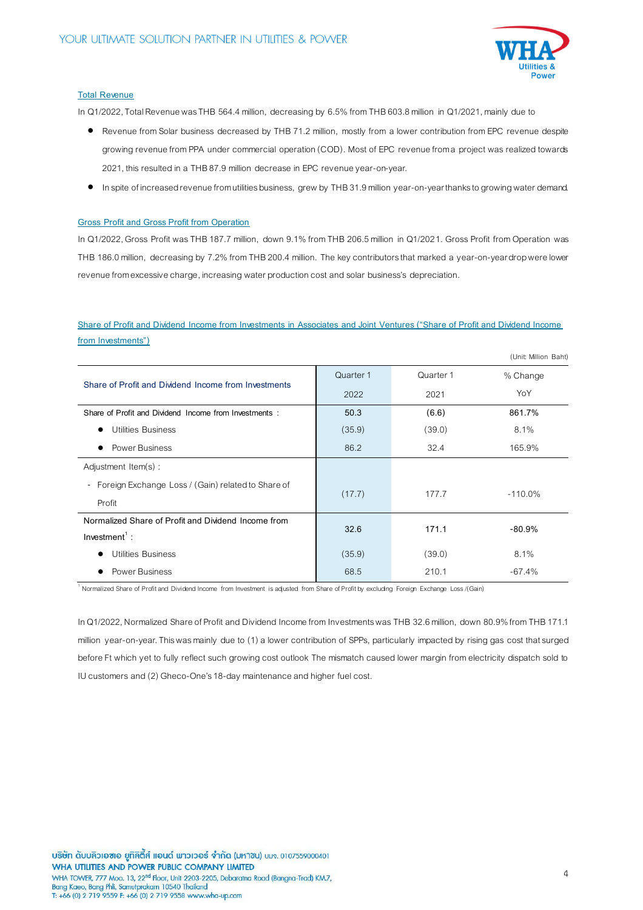

(Unit: Million Baht)

### **Total Revenue**

In Q1/2022, Total Revenue was THB 564.4 million, decreasing by 6.5% from THB 603.8 million in Q1/2021, mainly due to

- Revenue from Solar business decreased by THB 71.2 million, mostly from a lower contribution from EPC revenue despite growing revenue from PPA under commercial operation (COD). Most of EPC revenue from a project was realized towards 2021, this resulted in a THB 87.9 million decrease in EPC revenue year-on-year.
- In spite of increased revenue from utilities business, grew by THB 31.9 million year-on-year thanks to growing water demand.

### **Gross Profit and Gross Profit from Operation**

In Q1/2022, Gross Profit was THB 187.7 million, down 9.1% from THB 206.5million in Q1/2021. Gross Profit from Operation was THB 186.0 million, decreasing by 7.2% from THB 200.4 million. The key contributors that marked a year-on-year dropwere lower revenue from excessive charge, increasing water production cost and solar business's depreciation.

# **Share of Profit and Dividend Income from Investments in Associates and Joint Ventures ("Share of Profit and Dividend Income from Investments")**

|                                                       |           |           | (UNIL MINON DANI, |
|-------------------------------------------------------|-----------|-----------|-------------------|
| Share of Profit and Dividend Income from Investments  | Quarter 1 | Quarter 1 | % Change          |
|                                                       | 2022      | 2021      | YoY               |
| Share of Profit and Dividend Income from Investments: | 50.3      | (6.6)     | 861.7%            |
| <b>Utilities Business</b><br>$\bullet$                | (35.9)    | (39.0)    | 8.1%              |
| <b>Power Business</b><br>$\bullet$                    | 86.2      | 32.4      | 165.9%            |
| Adjustment Item(s):                                   |           |           |                   |
| - Foreign Exchange Loss / (Gain) related to Share of  |           |           |                   |
| Profit                                                | (17.7)    | 177.7     | $-110.0\%$        |
| Normalized Share of Profit and Dividend Income from   | 32.6      | 171.1     | $-80.9%$          |
| $Investment$ :                                        |           |           |                   |
| <b>Utilities Business</b><br>$\bullet$                | (35.9)    | (39.0)    | 8.1%              |
| Power Business                                        | 68.5      | 210.1     | $-67.4%$          |

<sup>1</sup> Normalized Share of Profit and Dividend Income from Investment is adjusted from Share of Profit by excluding Foreign Exchange Loss /(Gain)

In Q1/2022, Normalized Share of Profit and Dividend Income from Investments was THB 32.6million, down 80.9% from THB 171.1 million year-on-year.This was mainly due to (1) a lower contribution of SPPs, particularly impacted by rising gas cost that surged before Ft which yet to fully reflect such growing cost outlook The mismatch caused lower margin from electricity dispatch sold to IU customers and (2) Gheco-One's 18-day maintenance and higher fuel cost.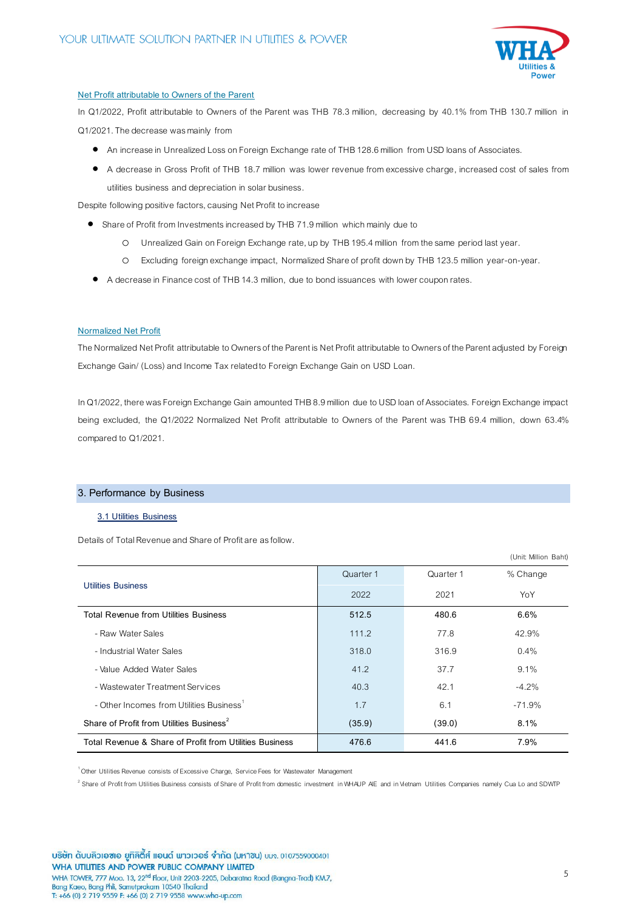

### **Net Profit attributable to Owners of the Parent**

In Q1/2022, Profit attributable to Owners of the Parent was THB 78.3 million, decreasing by 40.1% from THB 130.7 million in Q1/2021. The decrease was mainly from

- An increase in Unrealized Loss on Foreign Exchange rate of THB 128.6 million from USD loans of Associates.
- A decrease in Gross Profit of THB 18.7 million was lower revenue from excessive charge, increased cost of sales from utilities business and depreciation in solar business.

Despite following positive factors, causing Net Profit to increase

- Share of Profit from Investments increased by THB 71.9 million which mainly due to
	- o Unrealized Gain on Foreign Exchange rate, up by THB 195.4million from the same period last year.
	- o Excluding foreign exchange impact, Normalized Share of profit down by THB 123.5 million year-on-year.
- A decrease in Finance cost of THB 14.3 million, due to bond issuances with lower coupon rates.

### **Normalized Net Profit**

The Normalized Net Profit attributable to Owners of the Parent is Net Profit attributable to Owners of the Parent adjusted by Foreign Exchange Gain/ (Loss) and Income Tax related to Foreign Exchange Gain on USD Loan.

In Q1/2022, there was Foreign Exchange Gain amounted THB 8.9million due to USD loan of Associates. Foreign Exchange impact being excluded, the Q1/2022 Normalized Net Profit attributable to Owners of the Parent was THB 69.4 million, down 63.4% compared to Q1/2021.

## **3. Performance by Business**

### **3.1 Utilities Business**

Details of Total Revenue and Share of Profit are as follow.

|                                                         |           |           | (Unit: Million Baht) |
|---------------------------------------------------------|-----------|-----------|----------------------|
|                                                         | Quarter 1 | Quarter 1 | % Change             |
| <b>Utilities Business</b>                               | 2022      | 2021      | YoY                  |
| Total Revenue from Utilities Business                   | 512.5     | 480.6     | 6.6%                 |
| - Raw Water Sales                                       | 111.2     | 77.8      | 42.9%                |
| - Industrial Water Sales                                | 318.0     | 316.9     | 0.4%                 |
| - Value Added Water Sales                               | 41.2      | 37.7      | 9.1%                 |
| - Wastewater Treatment Services                         | 40.3      | 42.1      | $-4.2%$              |
| - Other Incomes from Utilities Business <sup>1</sup>    | 1.7       | 6.1       | $-71.9%$             |
| Share of Profit from Utilities Business <sup>2</sup>    | (35.9)    | (39.0)    | 8.1%                 |
| Total Revenue & Share of Profit from Utilities Business | 476.6     | 441.6     | 7.9%                 |

<sup>1</sup> Other Utilities Revenue consists of Excessive Charge, Service Fees for Wastewater Management

<sup>2</sup> Share of Profit from Utilities Business consists of Share of Profit from domestic investment in WHAUP AIE and in Vietnam Utilities Companies namely Cua Lo and SDWTP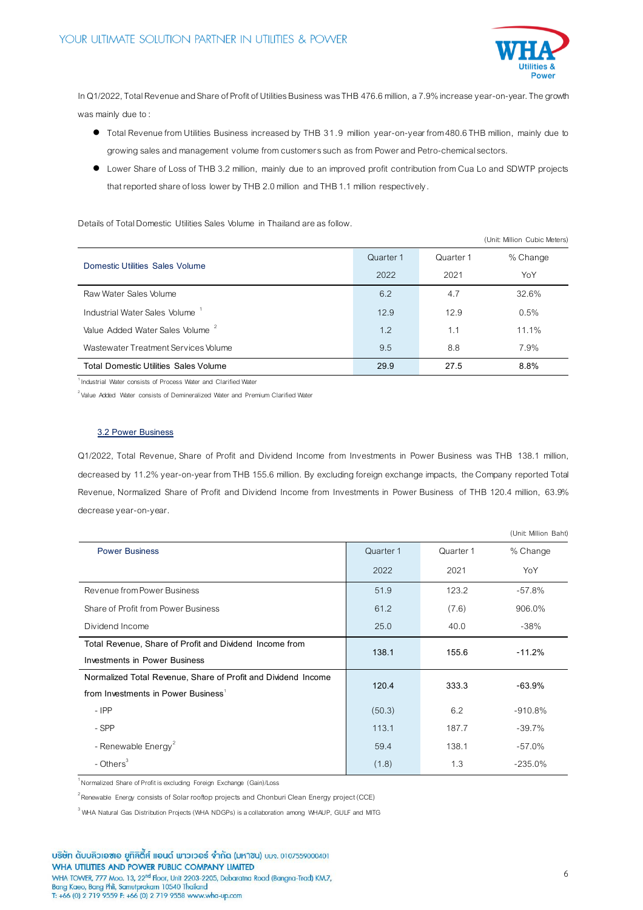

In Q1/2022, Total Revenue and Share of Profit of Utilities Business was THB 476.6 million, a 7.9% increase year-on-year. The growth was mainly due to :

- Total Revenue from Utilities Business increased by THB 31.9 million year-on-year from 480.6 THB million, mainly due to growing sales and management volume from customerssuch as from Power and Petro-chemical sectors.
- Lower Share of Loss of THB 3.2 million, mainly due to an improved profit contribution from Cua Lo and SDWTP projects that reported share of loss lower by THB 2.0 million and THB 1.1 million respectively.

Details of Total Domestic Utilities Sales Volume in Thailand are as follow.

|                                              |           |           | (Unit: Million Cubic Meters) |
|----------------------------------------------|-----------|-----------|------------------------------|
| Domestic Utilities Sales Volume              | Quarter 1 | Quarter 1 | % Change                     |
|                                              | 2022      | 2021      | YoY                          |
| Raw Water Sales Volume                       | 6.2       | 4.7       | 32.6%                        |
| Industrial Water Sales Volume                | 12.9      | 12.9      | 0.5%                         |
| Value Added Water Sales Volume <sup>2</sup>  | 1.2       | 1.1       | 11.1%                        |
| Wastewater Treatment Services Volume         | 9.5       | 8.8       | 7.9%                         |
| <b>Total Domestic Utilities Sales Volume</b> | 29.9      | 27.5      | 8.8%                         |

1 Industrial Water consists of Process Water and Clarified Water

 $^{2}$ Value Added Water consists of Demineralized Water and Premium Clarified Water

### **3.2 Power Business**

Q1/2022, Total Revenue, Share of Profit and Dividend Income from Investments in Power Business was THB 138.1 million, decreased by 11.2% year-on-year from THB 155.6 million. By excluding foreign exchange impacts, the Company reported Total Revenue, Normalized Share of Profit and Dividend Income from Investments in Power Business of THB 120.4 million, 63.9% decrease year-on-year.

|                                                               |           |           | (Unit: Million Baht) |
|---------------------------------------------------------------|-----------|-----------|----------------------|
| <b>Power Business</b>                                         | Quarter 1 | Quarter 1 | % Change             |
|                                                               | 2022      | 2021      | YoY                  |
| Revenue from Power Business                                   | 51.9      | 123.2     | $-57.8%$             |
| Share of Profit from Power Business                           | 61.2      | (7.6)     | 906.0%               |
| Dividend Income                                               | 25.0      | 40.0      | $-38%$               |
| Total Revenue, Share of Profit and Dividend Income from       | 138.1     | 155.6     | $-11.2%$             |
| Investments in Power Business                                 |           |           |                      |
| Normalized Total Revenue, Share of Profit and Dividend Income | 120.4     | 333.3     | $-63.9%$             |
| from Investments in Power Business <sup>1</sup>               |           |           |                      |
| $-$ IPP                                                       | (50.3)    | 6.2       | $-910.8%$            |
| - SPP                                                         | 113.1     | 187.7     | $-39.7\%$            |
| - Renewable Energy <sup>2</sup>                               | 59.4      | 138.1     | $-57.0\%$            |
| - $Others3$                                                   | (1.8)     | 1.3       | $-235.0%$            |

 $1$ Normalized Share of Profit is excluding Foreign Exchange (Gain)/Loss

 $^{2}$ Renewable Energy consists of Solar rooftop projects and Chonburi Clean Energy project (CCE)

 $3$  WHA Natural Gas Distribution Projects (WHA NDGPs) is a collaboration among WHAUP, GULF and MITG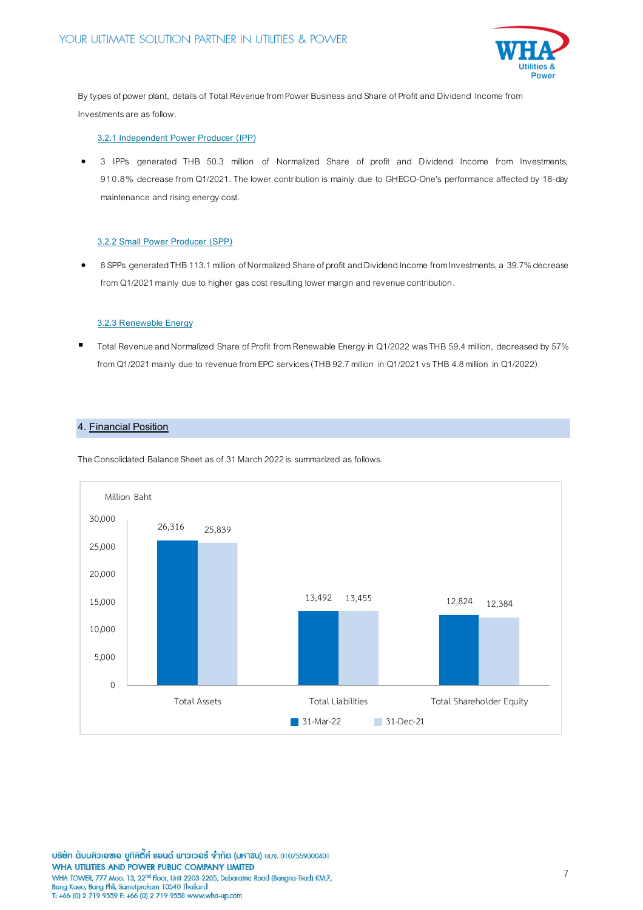

By types of power plant, details of Total Revenue from Power Business and Share of Profit and Dividend Income from Investments are as follow.

# **3.2.1 Independent Power Producer (IPP)**

 3 IPPs generated THB 50.3 million of Normalized Share of profit and Dividend Income from Investments, 910.8% decrease from Q1/2021. The lower contribution is mainly due to GHECO-One's performance affected by 18-day maintenance and rising energy cost.

#### **3.2.2 Small Power Producer (SPP)**

 8 SPPs generated THB 113.1million of Normalized Share of profit and Dividend Income from Investments, a 39.7% decrease from Q1/2021 mainly due to higher gas cost resulting lower margin and revenue contribution.

### **3.2.3 Renewable Energy**

 Total Revenue and Normalized Share of Profit from Renewable Energy in Q1/2022 was THB 59.4 million, decreased by 57% from Q1/2021 mainly due to revenue fromEPC services(THB 92.7 million in Q1/2021 vsTHB 4.8 million in Q1/2022).

## **4. Financial Position**

The Consolidated Balance Sheet as of 31March 2022is summarized as follows.



บริษัท ดับบลิวเอซเอ ยูทิลิตี้ส์ แอนด์ พาวเวอร์ จำกัด (มหาซน) บมจ. 0107559000401 WHA UTILITIES AND POWER PUBLIC COMPANY LIMITED WHA TOWER, 777 Moo. 13, 22<sup>nd</sup> Floor, Unit 2203-2205, Debaratna Road (Bangna-Trad) KM.7, Bang Kaeo, Bang Phli, Samutprakarn 10540 Thailand<br>T: +66 (0) 2 719 9559 F: +66 (0) 2 719 9558 www.wha-up.com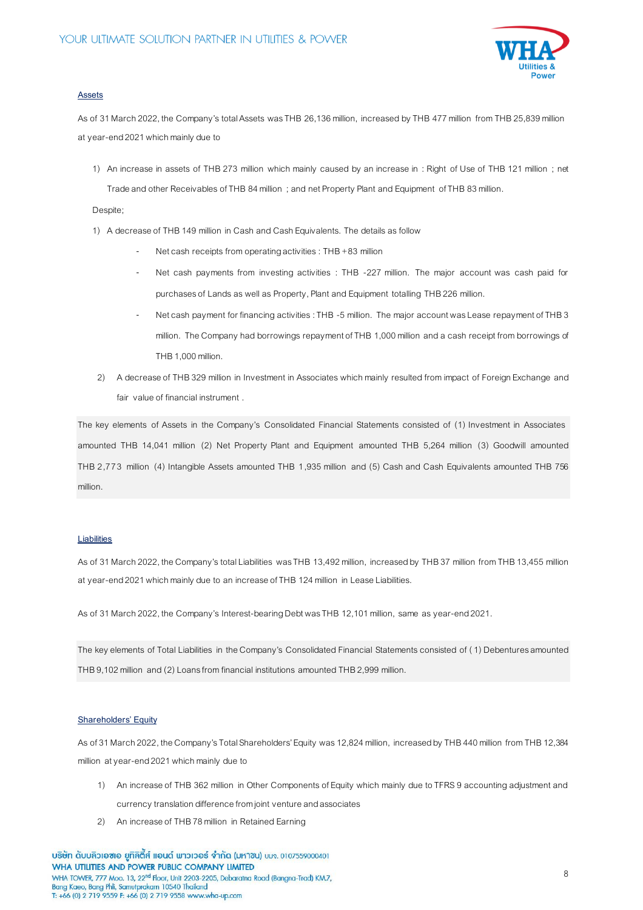

## **Assets**

As of 31 March 2022, the Company's total Assets was THB 26,136 million, increased by THB 477 million from THB 25,839 million at year-end 2021 which mainly due to

1) An increase in assets of THB 273 million which mainly caused by an increase in : Right of Use of THB 121 million ; net Trade and other Receivables of THB 84 million ; and net Property Plant and Equipment of THB 83 million.

Despite:

- 1) A decrease of THB 149 million in Cash and Cash Equivalents. The details as follow
	- Net cash receipts from operating activities : THB +83 million
	- Net cash payments from investing activities : THB -227 million. The major account was cash paid for purchases of Lands as well as Property, Plant and Equipment totalling THB 226 million.
	- Net cash payment for financing activities : THB -5 million. The major account was Lease repayment of THB 3 million. The Company had borrowings repayment of THB 1,000 million and a cash receipt from borrowings of THB 1,000 million.
- 2) A decrease of THB 329 million in Investment in Associates which mainly resulted from impact of Foreign Exchange and fair value of financial instrument.

The key elements of Assets in the Company's Consolidated Financial Statements consisted of (1) Investment in Associates amounted THB 14,041 million (2) Net Property Plant and Equipment amounted THB 5,264 million (3) Goodwill amounted THB 2,773 million (4) Intangible Assets amounted THB 1,935 million and (5) Cash and Cash Equivalents amounted THB 756 million.

#### **Liabilities**

As of 31 March 2022, the Company's total Liabilities was THB 13,492 million, increased by THB 37 million from THB 13,455 million at year-end 2021 which mainly due to an increase of THB 124 million in Lease Liabilities.

As of 31 March 2022, the Company's Interest-bearing Debt was THB 12,101 million, same as year-end 2021.

The key elements of Total Liabilities in the Company's Consolidated Financial Statements consisted of (1) Debentures amounted THB 9,102 million and (2) Loans from financial institutions amounted THB 2,999 million.

#### **Shareholders' Equity**

As of 31 March 2022, the Company's Total Shareholders' Equity was 12,824million, increased by THB 440 million from THB 12,384 million at year-end 2021 which mainly due to

- 1) An increase of THB 362 million in Other Components of Equity which mainly due to TFRS 9 accounting adjustment and currency translation difference from joint venture and associates
- 2) An increase of THB 78 million in Retained Earning